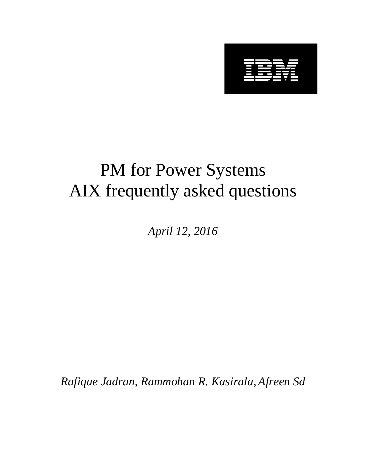

# PM for Power Systems AIX frequently asked questions

*April 12, 2016*

*Rafique Jadran, Rammohan R. Kasirala, Afreen Sd*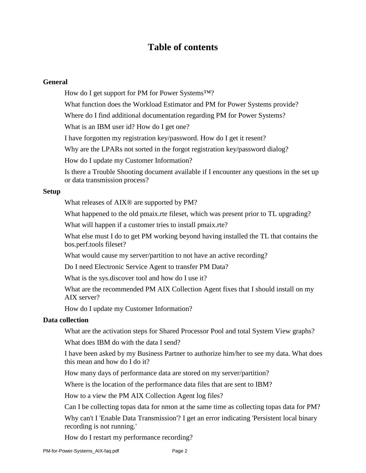# **Table of contents**

## **General**

How do I get support for PM for Power Systems™?

What function does the Workload Estimator and PM for Power Systems provide?

Where do I find additional documentation regarding PM for Power Systems?

What is an IBM user id? How do I get one?

I have forgotten my registration key/password. How do I get it resent?

Why are the LPARs not sorted in the forgot registration key/password dialog?

How do I update my Customer Information?

Is there a Trouble Shooting document available if I encounter any questions in the set up or data transmission process?

#### **Setup**

What releases of AIX® are supported by PM?

What happened to the old pmaix.rte fileset, which was present prior to TL upgrading?

What will happen if a customer tries to install pmaix.rte?

What else must I do to get PM working beyond having installed the TL that contains the bos.perf.tools fileset?

What would cause my server/partition to not have an active recording?

Do I need Electronic Service Agent to transfer PM Data?

What is the sys.discover tool and how do I use it?

What are the recommended PM AIX Collection Agent fixes that I should install on my AIX server?

How do I update my Customer Information?

#### **Data collection**

What are the activation steps for Shared Processor Pool and total System View graphs?

What does IBM do with the data I send?

I have been asked by my Business Partner to authorize him/her to see my data. What does this mean and how do I do it?

How many days of performance data are stored on my server/partition?

Where is the location of the performance data files that are sent to IBM?

How to a view the PM AIX Collection Agent log files?

Can I be collecting topas data for nmon at the same time as collecting topas data for PM?

Why can't I 'Enable Data Transmission'? I get an error indicating 'Persistent local binary recording is not running.'

How do I restart my performance recording?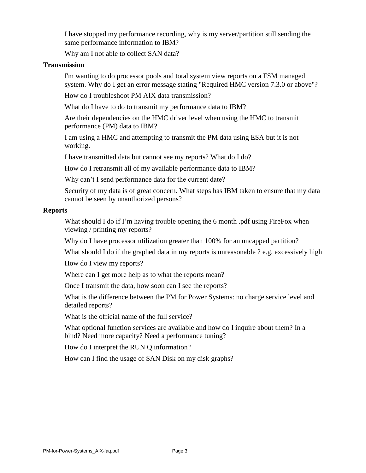I have stopped my performance recording, why is my server/partition still sending the same performance information to IBM?

Why am I not able to collect SAN data?

#### **Transmission**

I'm wanting to do processor pools and total system view reports on a FSM managed system. Why do I get an error message stating "Required HMC version 7.3.0 or above"?

How do I troubleshoot PM AIX data transmission?

What do I have to do to transmit my performance data to IBM?

Are their dependencies on the HMC driver level when using the HMC to transmit performance (PM) data to IBM?

I am using a HMC and attempting to transmit the PM data using ESA but it is not working.

I have transmitted data but cannot see my reports? What do I do?

How do I retransmit all of my available performance data to IBM?

Why can't I send performance data for the current date?

Security of my data is of great concern. What steps has IBM taken to ensure that my data cannot be seen by unauthorized persons?

#### **Reports**

What should I do if I'm having trouble opening the 6 month .pdf using FireFox when viewing / printing my reports?

Why do I have processor utilization greater than 100% for an uncapped partition?

What should I do if the graphed data in my reports is unreasonable ? e.g. excessively high

How do I view my reports?

Where can I get more help as to what the reports mean?

Once I transmit the data, how soon can I see the reports?

What is the difference between the PM for Power Systems: no charge service level and detailed reports?

What is the official name of the full service?

What optional function services are available and how do I inquire about them? In a bind? Need more capacity? Need a performance tuning?

How do I interpret the RUN Q information?

How can I find the usage of SAN Disk on my disk graphs?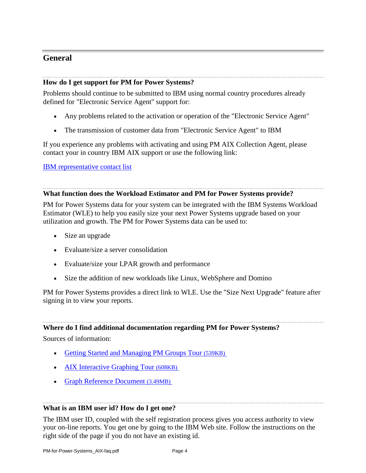# **General**

## **How do I get support for PM for Power Systems?**

Problems should continue to be submitted to IBM using normal country procedures already defined for "Electronic Service Agent" support for:

- Any problems related to the activation or operation of the "Electronic Service Agent"
- The transmission of customer data from "Electronic Service Agent" to IBM

If you experience any problems with activating and using PM AIX Collection Agent, please contact your in country IBM AIX support or use the following link:

## [IBM representative contact list](http://www-03.ibm.com/systems/power/support/perfmgmt/contact.html)

## **What function does the Workload Estimator and PM for Power Systems provide?**

PM for Power Systems data for your system can be integrated with the IBM Systems Workload Estimator (WLE) to help you easily size your next Power Systems upgrade based on your utilization and growth. The PM for Power Systems data can be used to:

- Size an upgrade
- Evaluate/size a server consolidation
- Evaluate/size your LPAR growth and performance
- Size the addition of new workloads like Linux, WebSphere and Domino

PM for Power Systems provides a direct link to WLE. Use the "Size Next Upgrade" feature after signing in to view your reports.

## **Where do I find additional documentation regarding PM for Power Systems?**

Sources of information:

- [Getting Started and Managing PM Groups Tour](http://www-03.ibm.com/systems/resources/systems_power_support_pm_gettingstarted.pdf) (539KB)
- [AIX Interactive Graphing Tour](http://www-03.ibm.com/systems/resources/systems_power_support_pm_aixtour.pdf) (608KB)
- [Graph Reference Document](http://www-03.ibm.com/systems/resources/Systems_power_support_pm_graph_reference.pdf) (3.49MB)

## **What is an IBM user id? How do I get one?**

The IBM user ID, coupled with the self registration process gives you access authority to view your on-line reports. You get one by going to the IBM Web site. Follow the instructions on the right side of the page if you do not have an existing id.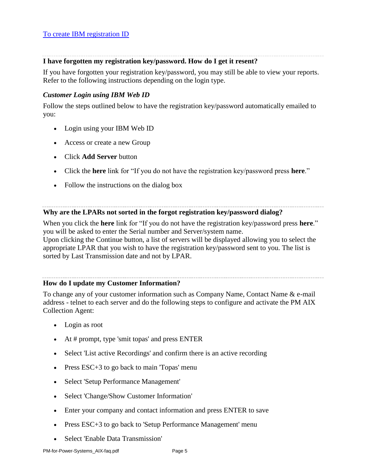## **I have forgotten my registration key/password. How do I get it resent?**

If you have forgotten your registration key/password, you may still be able to view your reports. Refer to the following instructions depending on the login type.

## *Customer Login using IBM Web ID*

Follow the steps outlined below to have the registration key/password automatically emailed to you:

- Login using your IBM Web ID
- Access or create a new Group
- Click **Add Server** button
- Click the **here** link for "If you do not have the registration key/password press **here**."
- Follow the instructions on the dialog box

## **Why are the LPARs not sorted in the forgot registration key/password dialog?**

When you click the **here** link for "If you do not have the registration key/password press **here**." you will be asked to enter the Serial number and Server/system name.

Upon clicking the Continue button, a list of servers will be displayed allowing you to select the appropriate LPAR that you wish to have the registration key/password sent to you. The list is sorted by Last Transmission date and not by LPAR.

## **How do I update my Customer Information?**

To change any of your customer information such as Company Name, Contact Name & e-mail address - telnet to each server and do the following steps to configure and activate the PM AIX Collection Agent:

- Login as root
- At # prompt, type 'smit topas' and press ENTER
- Select 'List active Recordings' and confirm there is an active recording
- Press ESC+3 to go back to main 'Topas' menu
- Select 'Setup Performance Management'
- Select 'Change/Show Customer Information'
- Enter your company and contact information and press ENTER to save
- Press ESC+3 to go back to 'Setup Performance Management' menu
- Select 'Enable Data Transmission'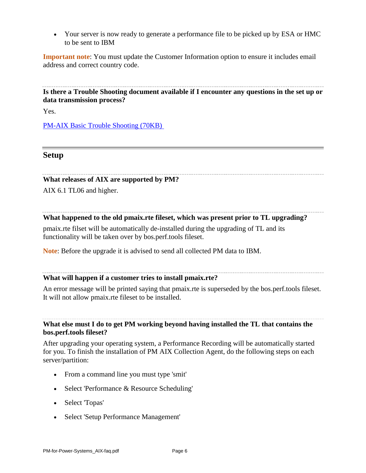Your server is now ready to generate a performance file to be picked up by ESA or HMC to be sent to IBM

**Important note**: You must update the Customer Information option to ensure it includes email address and correct country code.

**Is there a Trouble Shooting document available if I encounter any questions in the set up or data transmission process?**

Yes.

[PM-AIX Basic Trouble Shooting](http://www-03.ibm.com/systems/resources/Systems_power_support_pm_trouble_shooting_aix.pdf) (70KB)

## **Setup**

#### **What releases of AIX are supported by PM?**

AIX 6.1 TL06 and higher.

#### **What happened to the old pmaix.rte fileset, which was present prior to TL upgrading?**

pmaix.rte filset will be automatically de-installed during the upgrading of TL and its functionality will be taken over by bos.perf.tools fileset.

**Note**: Before the upgrade it is advised to send all collected PM data to IBM.

## **What will happen if a customer tries to install pmaix.rte?**

An error message will be printed saying that pmaix.rte is superseded by the bos.perf.tools fileset. It will not allow pmaix.rte fileset to be installed.

**What else must I do to get PM working beyond having installed the TL that contains the bos.perf.tools fileset?**

After upgrading your operating system, a Performance Recording will be automatically started for you. To finish the installation of PM AIX Collection Agent, do the following steps on each server/partition:

- From a command line you must type 'smit'
- Select 'Performance & Resource Scheduling'
- Select 'Topas'
- Select 'Setup Performance Management'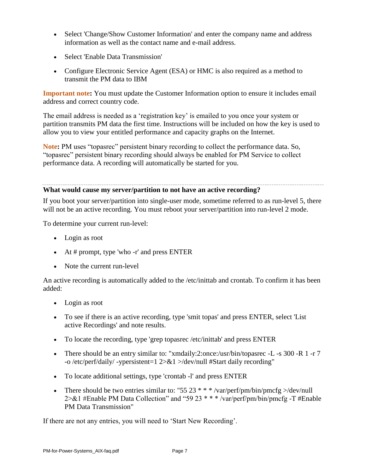- Select 'Change/Show Customer Information' and enter the company name and address information as well as the contact name and e-mail address.
- Select 'Enable Data Transmission'
- Configure Electronic Service Agent (ESA) or HMC is also required as a method to transmit the PM data to IBM

**Important note:** You must update the Customer Information option to ensure it includes email address and correct country code.

The email address is needed as a 'registration key' is emailed to you once your system or partition transmits PM data the first time. Instructions will be included on how the key is used to allow you to view your entitled performance and capacity graphs on the Internet.

**Note:** PM uses "topasrec" persistent binary recording to collect the performance data. So, "topasrec" persistent binary recording should always be enabled for PM Service to collect performance data. A recording will automatically be started for you.

## **What would cause my server/partition to not have an active recording?**

If you boot your server/partition into single-user mode, sometime referred to as run-level 5, there will not be an active recording. You must reboot your server/partition into run-level 2 mode.

To determine your current run-level:

- Login as root
- At # prompt, type 'who  $-r'$  and press ENTER
- Note the current run-level

An active recording is automatically added to the /etc/inittab and crontab. To confirm it has been added:

- Login as root
- To see if there is an active recording, type 'smit topas' and press ENTER, select 'List active Recordings' and note results.
- To locate the recording, type 'grep topasrec /etc/inittab' and press ENTER
- There should be an entry similar to: "xmdaily:2:once:/usr/bin/topasrec -L -s 300 -R 1 -r 7 -o /etc/perf/daily/ -ypersistent=1 2>&1 >/dev/null #Start daily recording"
- To locate additional settings, type 'crontab -l' and press ENTER
- There should be two entries similar to: "55 23  $* * * /var/perf/pm/bin/pmcf$   $\geq$  /dev/null  $2 > \& 1$  #Enable PM Data Collection" and "59 23 \* \* \* /var/perf/pm/bin/pmcfg -T #Enable PM Data Transmission"

If there are not any entries, you will need to 'Start New Recording'.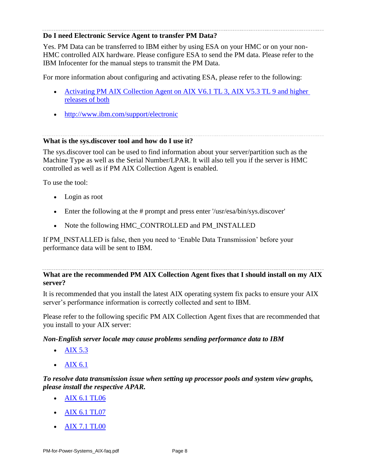## **Do I need Electronic Service Agent to transfer PM Data?**

Yes. PM Data can be transferred to IBM either by using ESA on your HMC or on your non-HMC controlled AIX hardware. Please configure ESA to send the PM data. Please refer to the IBM Infocenter for the manual steps to transmit the PM Data.

For more information about configuring and activating ESA, please refer to the following:

- Activating PM AIX Collection Agent on AIX V6.1 TL 3, AIX V5.3 TL 9 and higher [releases of both](http://www-03.ibm.com/systems/power/support/perfmgmt/activation.html#activate_collections_aix)
- <http://www.ibm.com/support/electronic>

## **What is the sys.discover tool and how do I use it?**

The sys.discover tool can be used to find information about your server/partition such as the Machine Type as well as the Serial Number/LPAR. It will also tell you if the server is HMC controlled as well as if PM AIX Collection Agent is enabled.

To use the tool:

- Login as root
- Enter the following at the # prompt and press enter '/usr/esa/bin/sys.discover'
- Note the following HMC\_CONTROLLED and PM\_INSTALLED

If PM\_INSTALLED is false, then you need to 'Enable Data Transmission' before your performance data will be sent to IBM.

## **What are the recommended PM AIX Collection Agent fixes that I should install on my AIX server?**

It is recommended that you install the latest AIX operating system fix packs to ensure your AIX server's performance information is correctly collected and sent to IBM.

Please refer to the following specific PM AIX Collection Agent fixes that are recommended that you install to your AIX server:

## *Non-English server locale may cause problems sending performance data to IBM*

- [AIX 5.3](http://www.ibm.com/support/docview.wss?uid=isg1IZ66496)
- $\bullet$  [AIX 6.1](http://www.ibm.com/support/docview.wss?uid=isg1IZ66491)

## *To resolve data transmission issue when setting up processor pools and system view graphs, please install the respective APAR.*

- [AIX 6.1 TL06](http://www.ibm.com/support/docview.wss?uid=isg1IV07528)
- [AIX 6.1 TL07](http://www.ibm.com/support/docview.wss?uid=isg1IV04924)
- [AIX 7.1 TL00](http://www.ibm.com/support/docview.wss?uid=isg1IV14668)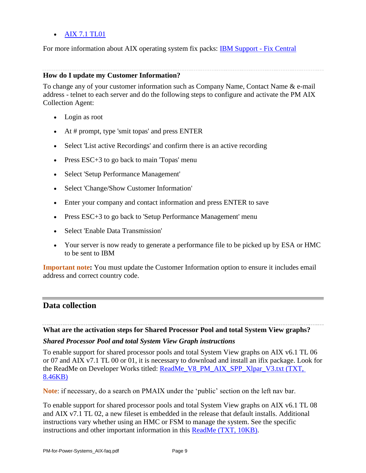## • [AIX 7.1 TL01](http://www.ibm.com/support/docview.wss?uid=isg1IV06687)

For more information about AIX operating system fix packs: [IBM Support -](http://www.ibm.com/support/fixcentral/main/System+p/AIX) Fix Central

### **How do I update my Customer Information?**

To change any of your customer information such as Company Name, Contact Name & e-mail address - telnet to each server and do the following steps to configure and activate the PM AIX Collection Agent:

- Login as root
- $\bullet$  At # prompt, type 'smit topas' and press ENTER
- Select 'List active Recordings' and confirm there is an active recording
- Press ESC+3 to go back to main 'Topas' menu
- Select 'Setup Performance Management'
- Select 'Change/Show Customer Information'
- Enter your company and contact information and press ENTER to save
- Press ESC+3 to go back to 'Setup Performance Management' menu
- Select 'Enable Data Transmission'
- Your server is now ready to generate a performance file to be picked up by ESA or HMC to be sent to IBM

**Important note:** You must update the Customer Information option to ensure it includes email address and correct country code.

## **Data collection**

#### **What are the activation steps for Shared Processor Pool and total System View graphs?**

#### *Shared Processor Pool and total System View Graph instructions*

To enable support for shared processor pools and total System View graphs on AIX v6.1 TL 06 or 07 and AIX v7.1 TL 00 or 01, it is necessary to download and install an ifix package. Look for the ReadMe on Developer Works titled: [ReadMe\\_V8\\_PM\\_AIX\\_SPP\\_Xlpar\\_V3.txt \(TXT,](https://www.ibm.com/developerworks/mydeveloperworks/files/form/anonymous/api/library/506389b3-0db5-4139-8f7c-acf38c3b4eac/document/4cc2dc3c-645a-40af-a45c-9d439bdc826a/media/ReadMe_V8_PM_AIX_SPP_Xlpar_V3.txt)  [8.46KB\)](https://www.ibm.com/developerworks/mydeveloperworks/files/form/anonymous/api/library/506389b3-0db5-4139-8f7c-acf38c3b4eac/document/4cc2dc3c-645a-40af-a45c-9d439bdc826a/media/ReadMe_V8_PM_AIX_SPP_Xlpar_V3.txt)

**Note**: if necessary, do a search on PMAIX under the 'public' section on the left nav bar.

To enable support for shared processor pools and total System View graphs on AIX v6.1 TL 08 and AIX v7.1 TL 02, a new fileset is embedded in the release that default installs. Additional instructions vary whether using an HMC or FSM to manage the system. See the specific instructions and other important information in this [ReadMe \(TXT, 10KB\).](http://www-03.ibm.com/systems/resources/systems_power_support_pm_readme_aix_dev_release_spp_xlpar.txt?lmod=1369808318&lmod=1369808318&lmod=1369808318&lmod=1369808318&lmod=1369808318&lmod=1369808318&lmod=1369808318&lmod=1369808318&lmod=1369808318&lmod=1369808318&lmod=1369808318&lmod=1369808318&lmod=1369808318&lmod=1369808318&lmod=1369808318)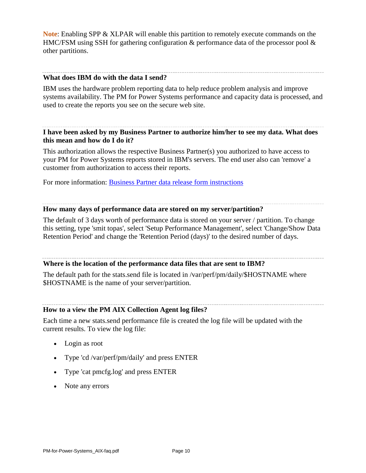**Note**: Enabling SPP & XLPAR will enable this partition to remotely execute commands on the HMC/FSM using SSH for gathering configuration & performance data of the processor pool & other partitions.

#### **What does IBM do with the data I send?**

IBM uses the hardware problem reporting data to help reduce problem analysis and improve systems availability. The PM for Power Systems performance and capacity data is processed, and used to create the reports you see on the secure web site.

## **I have been asked by my Business Partner to authorize him/her to see my data. What does this mean and how do I do it?**

This authorization allows the respective Business Partner(s) you authorized to have access to your PM for Power Systems reports stored in IBM's servers. The end user also can 'remove' a customer from authorization to access their reports.

For more information: [Business Partner data release form instructions](http://www-03.ibm.com/systems/power/support/perfmgmt/authorization.html)

#### **How many days of performance data are stored on my server/partition?**

The default of 3 days worth of performance data is stored on your server / partition. To change this setting, type 'smit topas', select 'Setup Performance Management', select 'Change/Show Data Retention Period' and change the 'Retention Period (days)' to the desired number of days.

#### **Where is the location of the performance data files that are sent to IBM?**

The default path for the stats.send file is located in /var/perf/pm/daily/\$HOSTNAME where \$HOSTNAME is the name of your server/partition.

#### **How to a view the PM AIX Collection Agent log files?**

Each time a new stats.send performance file is created the log file will be updated with the current results. To view the log file:

- Login as root
- Type 'cd /var/perf/pm/daily' and press ENTER
- Type 'cat pmcfg.log' and press ENTER
- Note any errors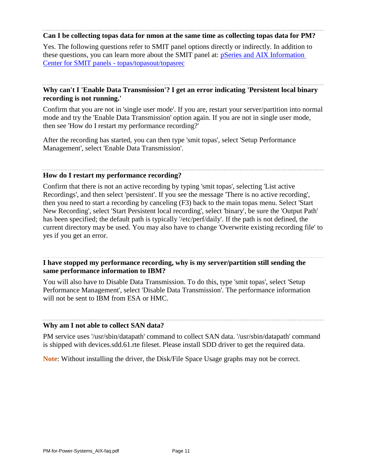#### **Can I be collecting topas data for nmon at the same time as collecting topas data for PM?**

Yes. The following questions refer to SMIT panel options directly or indirectly. In addition to these questions, you can learn more about the SMIT panel at: [pSeries and AIX Information](http://publib.boulder.ibm.com/infocenter/pseries/v5r3/index.jsp?topic=/com.ibm.aix.prftungd/doc/prftungd/smit_topas_topasout.htm)  [Center for SMIT panels -](http://publib.boulder.ibm.com/infocenter/pseries/v5r3/index.jsp?topic=/com.ibm.aix.prftungd/doc/prftungd/smit_topas_topasout.htm) topas/topasout/topasrec

## **Why can't I 'Enable Data Transmission'? I get an error indicating 'Persistent local binary recording is not running.'**

Confirm that you are not in 'single user mode'. If you are, restart your server/partition into normal mode and try the 'Enable Data Transmission' option again. If you are not in single user mode, then see 'How do I restart my performance recording?'

After the recording has started, you can then type 'smit topas', select 'Setup Performance Management', select 'Enable Data Transmission'.

#### **How do I restart my performance recording?**

Confirm that there is not an active recording by typing 'smit topas', selecting 'List active Recordings', and then select 'persistent'. If you see the message 'There is no active recording', then you need to start a recording by canceling (F3) back to the main topas menu. Select 'Start New Recording', select 'Start Persistent local recording', select 'binary', be sure the 'Output Path' has been specified; the default path is typically '/etc/perf/daily'. If the path is not defined, the current directory may be used. You may also have to change 'Overwrite existing recording file' to yes if you get an error.

**I have stopped my performance recording, why is my server/partition still sending the same performance information to IBM?**

You will also have to Disable Data Transmission. To do this, type 'smit topas', select 'Setup Performance Management', select 'Disable Data Transmission'. The performance information will not be sent to IBM from ESA or HMC.

## **Why am I not able to collect SAN data?**

PM service uses '/usr/sbin/datapath' command to collect SAN data. '/usr/sbin/datapath' command is shipped with devices.sdd.61.rte fileset. Please install SDD driver to get the required data.

**Note**: Without installing the driver, the Disk/File Space Usage graphs may not be correct.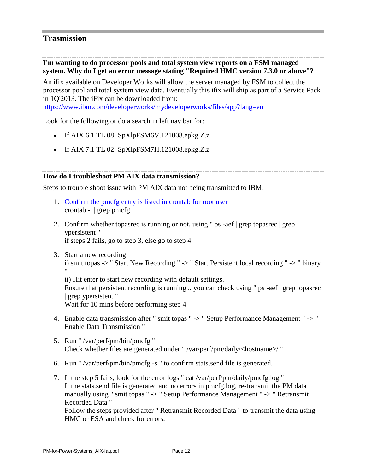## **Trasmission**

**I'm wanting to do processor pools and total system view reports on a FSM managed system. Why do I get an error message stating "Required HMC version 7.3.0 or above"?**

An ifix available on Developer Works will allow the server managed by FSM to collect the processor pool and total system view data. Eventually this ifix will ship as part of a Service Pack in 1Q'2013. The iFix can be downloaded from:

<https://www.ibm.com/developerworks/mydeveloperworks/files/app?lang=en>

Look for the following or do a search in left nav bar for:

- If AIX 6.1 TL 08:  $SpXlpFSM6V.121008.epkg.Z.z$
- If AIX 7.1 TL 02:  $SpXlpFSM7H.121008.epkg.Z.z$

#### **How do I troubleshoot PM AIX data transmission?**

Steps to trouble shoot issue with PM AIX data not being transmitted to IBM:

- 1. [Confirm the pmcfg entry is listed in crontab for root user](http://www-03.ibm.com/systems/power/support/perfmgmt/faq/setupaix.html#q5) crontab -l | grep pmcfg
- 2. Confirm whether topasrec is running or not, using " ps -aef | grep topasrec | grep ypersistent " if steps 2 fails, go to step 3, else go to step 4
- 3. Start a new recording i) smit topas -> " Start New Recording " -> " Start Persistent local recording " -> " binary "

ii) Hit enter to start new recording with default settings. Ensure that persistent recording is running .. you can check using " ps -aef | grep topasrec | grep ypersistent " Wait for 10 mins before performing step 4

- 4. Enable data transmission after " smit topas " -> " Setup Performance Management " -> " Enable Data Transmission "
- 5. Run " /var/perf/pm/bin/pmcfg " Check whether files are generated under " /var/perf/pm/daily/<hostname>/ "
- 6. Run " /var/perf/pm/bin/pmcfg -s " to confirm stats.send file is generated.
- 7. If the step 5 fails, look for the error logs " cat /var/perf/pm/daily/pmcfg.log " If the stats.send file is generated and no errors in pmcfg.log, re-transmit the PM data manually using " smit topas " -> " Setup Performance Management " -> " Retransmit Recorded Data "

Follow the steps provided after " Retransmit Recorded Data " to transmit the data using HMC or ESA and check for errors.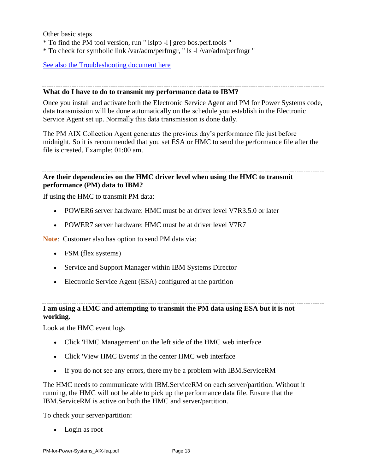Other basic steps

- \* To find the PM tool version, run " lslpp -l | grep bos.perf.tools "
- \* To check for symbolic link /var/adm/perfmgr, " ls -l /var/adm/perfmgr "

[See also the Troubleshooting document here](http://www-03.ibm.com/systems/power/support/perfmgmt/activation.html#AIX_problem_handling)

#### **What do I have to do to transmit my performance data to IBM?**

Once you install and activate both the Electronic Service Agent and PM for Power Systems code, data transmission will be done automatically on the schedule you establish in the Electronic Service Agent set up. Normally this data transmission is done daily.

The PM AIX Collection Agent generates the previous day's performance file just before midnight. So it is recommended that you set ESA or HMC to send the performance file after the file is created. Example: 01:00 am.

## **Are their dependencies on the HMC driver level when using the HMC to transmit performance (PM) data to IBM?**

If using the HMC to transmit PM data:

- POWER6 server hardware: HMC must be at driver level V7R3.5.0 or later
- POWER7 server hardware: HMC must be at driver level V7R7

**Note**: Customer also has option to send PM data via:

- FSM (flex systems)
- Service and Support Manager within IBM Systems Director
- Electronic Service Agent (ESA) configured at the partition

## **I am using a HMC and attempting to transmit the PM data using ESA but it is not working.**

Look at the HMC event logs

- Click 'HMC Management' on the left side of the HMC web interface
- Click 'View HMC Events' in the center HMC web interface
- If you do not see any errors, there my be a problem with IBM.ServiceRM

The HMC needs to communicate with IBM.ServiceRM on each server/partition. Without it running, the HMC will not be able to pick up the performance data file. Ensure that the IBM.ServiceRM is active on both the HMC and server/partition.

To check your server/partition:

• Login as root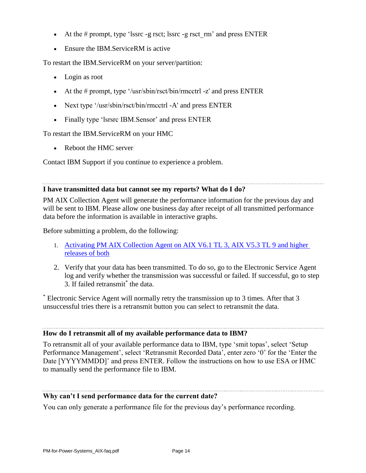- At the # prompt, type 'lssrc -g rsct; lssrc -g rsct  $rm'$ ' and press ENTER
- Ensure the IBM.ServiceRM is active

To restart the IBM.ServiceRM on your server/partition:

- Login as root
- At the # prompt, type '/usr/sbin/rsct/bin/rmcctrl -z' and press ENTER
- Next type '/usr/sbin/rsct/bin/rmcctrl -A' and press ENTER
- Finally type 'lsrsrc IBM.Sensor' and press ENTER

To restart the IBM.ServiceRM on your HMC

Reboot the HMC server

Contact IBM Support if you continue to experience a problem.

## **I have transmitted data but cannot see my reports? What do I do?**

PM AIX Collection Agent will generate the performance information for the previous day and will be sent to IBM. Please allow one business day after receipt of all transmitted performance data before the information is available in interactive graphs.

Before submitting a problem, do the following:

- 1. [Activating PM AIX Collection Agent on AIX V6.1 TL 3, AIX V5.3 TL 9 and higher](http://www-03.ibm.com/systems/power/support/perfmgmt/activation.html#activate_collections_aix)  [releases of both](http://www-03.ibm.com/systems/power/support/perfmgmt/activation.html#activate_collections_aix)
- 2. Verify that your data has been transmitted. To do so, go to the Electronic Service Agent log and verify whether the transmission was successful or failed. If successful, go to step 3. If failed retransmit<sup>\*</sup> the data.

\* Electronic Service Agent will normally retry the transmission up to 3 times. After that 3 unsuccessful tries there is a retransmit button you can select to retransmit the data.

## **How do I retransmit all of my available performance data to IBM?**

To retransmit all of your available performance data to IBM, type 'smit topas', select 'Setup Performance Management', select 'Retransmit Recorded Data', enter zero '0' for the 'Enter the Date [YYYYMMDD]' and press ENTER. Follow the instructions on how to use ESA or HMC to manually send the performance file to IBM.

## **Why can't I send performance data for the current date?**

You can only generate a performance file for the previous day's performance recording.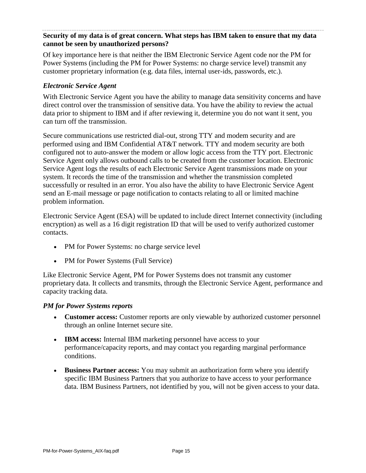## **Security of my data is of great concern. What steps has IBM taken to ensure that my data cannot be seen by unauthorized persons?**

Of key importance here is that neither the IBM Electronic Service Agent code nor the PM for Power Systems (including the PM for Power Systems: no charge service level) transmit any customer proprietary information (e.g. data files, internal user-ids, passwords, etc.).

## *Electronic Service Agent*

With Electronic Service Agent you have the ability to manage data sensitivity concerns and have direct control over the transmission of sensitive data. You have the ability to review the actual data prior to shipment to IBM and if after reviewing it, determine you do not want it sent, you can turn off the transmission.

Secure communications use restricted dial-out, strong TTY and modem security and are performed using and IBM Confidential AT&T network. TTY and modem security are both configured not to auto-answer the modem or allow logic access from the TTY port. Electronic Service Agent only allows outbound calls to be created from the customer location. Electronic Service Agent logs the results of each Electronic Service Agent transmissions made on your system. It records the time of the transmission and whether the transmission completed successfully or resulted in an error. You also have the ability to have Electronic Service Agent send an E-mail message or page notification to contacts relating to all or limited machine problem information.

Electronic Service Agent (ESA) will be updated to include direct Internet connectivity (including encryption) as well as a 16 digit registration ID that will be used to verify authorized customer contacts.

- PM for Power Systems: no charge service level
- PM for Power Systems (Full Service)

Like Electronic Service Agent, PM for Power Systems does not transmit any customer proprietary data. It collects and transmits, through the Electronic Service Agent, performance and capacity tracking data.

## *PM for Power Systems reports*

- **Customer access:** Customer reports are only viewable by authorized customer personnel through an online Internet secure site.
- **IBM access:** Internal IBM marketing personnel have access to your performance/capacity reports, and may contact you regarding marginal performance conditions.
- **Business Partner access:** You may submit an authorization form where you identify specific IBM Business Partners that you authorize to have access to your performance data. IBM Business Partners, not identified by you, will not be given access to your data.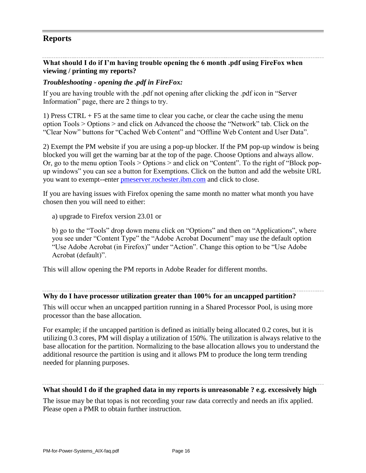# **Reports**

## **What should I do if I'm having trouble opening the 6 month .pdf using FireFox when viewing / printing my reports?**

## *Troubleshooting - opening the .pdf in FireFox:*

If you are having trouble with the .pdf not opening after clicking the .pdf icon in "Server Information" page, there are 2 things to try.

1) Press CTRL + F5 at the same time to clear you cache, or clear the cache using the menu option Tools > Options > and click on Advanced the choose the "Network" tab. Click on the "Clear Now" buttons for "Cached Web Content" and "Offline Web Content and User Data".

2) Exempt the PM website if you are using a pop-up blocker. If the PM pop-up window is being blocked you will get the warning bar at the top of the page. Choose Options and always allow. Or, go to the menu option Tools > Options > and click on "Content". To the right of "Block popup windows" you can see a button for Exemptions. Click on the button and add the website URL you want to exempt--enter [pmeserver.rochester.ibm.com](http://pmeserver.rochester.ibm.com/) and click to close.

If you are having issues with Firefox opening the same month no matter what month you have chosen then you will need to either:

a) upgrade to Firefox version 23.01 or

b) go to the "Tools" drop down menu click on "Options" and then on "Applications", where you see under "Content Type" the "Adobe Acrobat Document" may use the default option "Use Adobe Acrobat (in Firefox)" under "Action". Change this option to be "Use Adobe Acrobat (default)".

This will allow opening the PM reports in Adobe Reader for different months.

#### **Why do I have processor utilization greater than 100% for an uncapped partition?**

This will occur when an uncapped partition running in a Shared Processor Pool, is using more processor than the base allocation.

For example; if the uncapped partition is defined as initially being allocated 0.2 cores, but it is utilizing 0.3 cores, PM will display a utilization of 150%. The utilization is always relative to the base allocation for the partition. Normalizing to the base allocation allows you to understand the additional resource the partition is using and it allows PM to produce the long term trending needed for planning purposes.

#### **What should I do if the graphed data in my reports is unreasonable ? e.g. excessively high**

The issue may be that topas is not recording your raw data correctly and needs an ifix applied. Please open a PMR to obtain further instruction.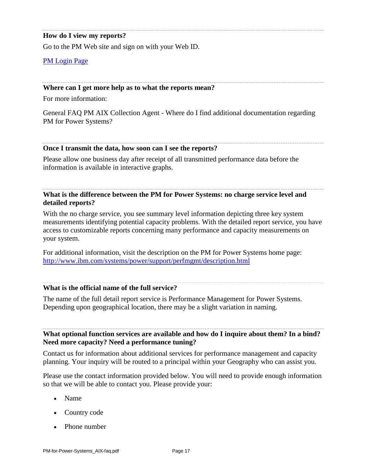## **How do I view my reports?**

Go to the PM Web site and sign on with your Web ID.

[PM Login Page](https://pmeserver.rochester.ibm.com/)

#### **Where can I get more help as to what the reports mean?**

For more information:

General FAQ PM AIX Collection Agent - Where do I find additional documentation regarding PM for Power Systems?

#### **Once I transmit the data, how soon can I see the reports?**

Please allow one business day after receipt of all transmitted performance data before the information is available in interactive graphs.

## **What is the difference between the PM for Power Systems: no charge service level and detailed reports?**

With the no charge service, you see summary level information depicting three key system measurements identifying potential capacity problems. With the detailed report service, you have access to customizable reports concerning many performance and capacity measurements on your system.

For additional information, visit the description on the PM for Power Systems home page: [http://www.ibm.com/systems/power/support/perfmgmt/description.html](http://www-03.ibm.com/systems/power/support/perfmgmt/description.html)

## **What is the official name of the full service?**

The name of the full detail report service is Performance Management for Power Systems. Depending upon geographical location, there may be a slight variation in naming.

## **What optional function services are available and how do I inquire about them? In a bind? Need more capacity? Need a performance tuning?**

Contact us for information about additional services for performance management and capacity planning. Your inquiry will be routed to a principal within your Geography who can assist you.

Please use the contact information provided below. You will need to provide enough information so that we will be able to contact you. Please provide your:

- Name
- Country code
- Phone number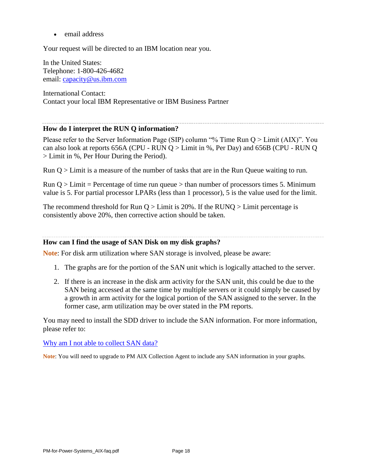• email address

Your request will be directed to an IBM location near you.

In the United States: Telephone: 1-800-426-4682 email: [capacity@us.ibm.com](mailto:capacity@us.ibm.com)

International Contact: Contact your local IBM Representative or IBM Business Partner

#### **How do I interpret the RUN Q information?**

Please refer to the Server Information Page (SIP) column "% Time Run Q > Limit (AIX)". You can also look at reports 656A (CPU - RUN  $Q >$  Limit in %, Per Day) and 656B (CPU - RUN  $Q$ > Limit in %, Per Hour During the Period).

Run Q > Limit is a measure of the number of tasks that are in the Run Queue waiting to run.

Run  $Q >$  Limit = Percentage of time run queue  $>$  than number of processors times 5. Minimum value is 5. For partial processor LPARs (less than 1 processor), 5 is the value used for the limit.

The recommend threshold for Run  $Q >$  Limit is 20%. If the RUNQ  $>$  Limit percentage is consistently above 20%, then corrective action should be taken.

#### **How can I find the usage of SAN Disk on my disk graphs?**

**Note**: For disk arm utilization where SAN storage is involved, please be aware:

- 1. The graphs are for the portion of the SAN unit which is logically attached to the server.
- 2. If there is an increase in the disk arm activity for the SAN unit, this could be due to the SAN being accessed at the same time by multiple servers or it could simply be caused by a growth in arm activity for the logical portion of the SAN assigned to the server. In the former case, arm utilization may be over stated in the PM reports.

You may need to install the SDD driver to include the SAN information. For more information, please refer to:

#### [Why am I not able to collect SAN data?](http://www-03.ibm.com/systems/power/support/perfmgmt/faq/datacollaix.html#q10)

**Note**: You will need to upgrade to PM AIX Collection Agent to include any SAN information in your graphs.